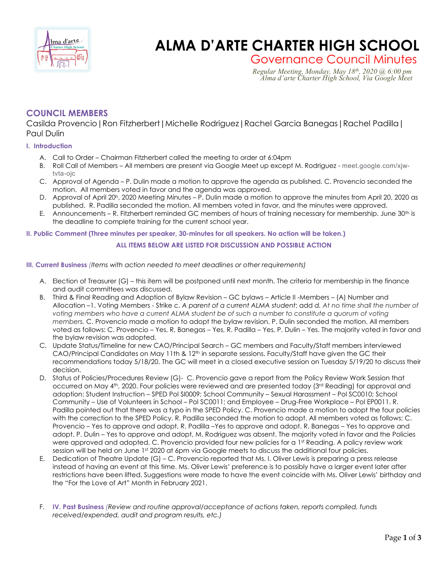

# **Charles Charles ALMA D'ARTE CHARTER HIGH SCHOOL**

Governance Council Minutes<br>*Regular Meeting, Monday, May 18<sup>th</sup>, 2020* @ 6:00 *pm*<br>*Alma d'arte Charter High School, Via Google Meet* 

# **COUNCIL MEMBERS**

Casilda Provencio|Ron Fitzherbert|Michelle Rodriguez|Rachel Garcia Banegas|Rachel Padilla| Paul Dulin

# **I. Introduction**

- A. Call to Order Chairman Fitzherbert called the meeting to order at 6:04pm
- B. Roll Call of Members All members are present via Google Meet up except M. Rodriguez meet.google.com/xjwtvta-ojc
- C. Approval of Agenda P. Dulin made a motion to approve the agenda as published. C. Provencio seconded the motion. All members voted in favor and the agenda was approved.
- D. Approval of April 20<sup>h</sup>, 2020 Meeting Minutes P. Dulin made a motion to approve the minutes from April 20, 2020 as published. R. Padilla seconded the motion. All members voted in favor, and the minutes were approved.
- E. Announcements R. Fitzherbert reminded GC members of hours of training necessary for membership. June 30<sup>th</sup> is the deadline to complete training for the current school year.

## **II. Public Comment (Three minutes per speaker, 30-minutes for all speakers. No action will be taken.)**

# **ALL ITEMS BELOW ARE LISTED FOR DISCUSSION AND POSSIBLE ACTION**

## **III. Current Business** *(Items with action needed to meet deadlines or other requirements)*

- A. Election of Treasurer (G) this item will be postponed until next month. The criteria for membership in the finance and audit committees was discussed.
- B. Third & Final Reading and Adoption of Bylaw Revision GC bylaws Article II -Members (A) Number and Allocation –1. Voting Members - Strike c. *A parent of a current ALMA student*; add *d. At no time shall the number of voting members who have a current ALMA student be of such a number to constitute a quorum of voting members.* C. Provencio made a motion to adopt the bylaw revision. P. Dulin seconded the motion. All members voted as follows: C. Provencio – Yes, R, Banegas – Yes, R. Padilla – Yes, P. Dulin – Yes. The majority voted in favor and the bylaw revision was adopted.
- C. Update Status/Timeline for new CAO/Principal Search GC members and Faculty/Staff members interviewed CAO/Principal Candidates on May 11th & 12<sup>th</sup> in separate sessions. Faculty/Staff have given the GC their recommendations today 5/18/20. The GC will meet in a closed executive session on Tuesday 5/19/20 to discuss their decision.
- D. Status of Policies/Procedures Review (G)- C. Provencio gave a report from the Policy Review Work Session that occurred on May 4th, 2020. Four policies were reviewed and are presented today (3<sup>rd</sup> Reading) for approval and adoption: Student Instruction – SPED Pol SI0009; School Community – Sexual Harassment – Pol SC0010; School Community – Use of Volunteers in School – Pol SC0011; and Employee – Drug-Free Workplace – Pol EP0011. R. Padilla pointed out that there was a typo in the SPED Policy. C. Provencio made a motion to adopt the four policies with the correction to the SPED Policy. R. Padilla seconded the motion to adopt. All members voted as follows: C. Provencio – Yes to approve and adopt, R. Padilla –Yes to approve and adopt. R. Banegas – Yes to approve and adopt, P. Dulin – Yes to approve and adopt, M. Rodriguez was absent. The majority voted in favor and the Policies were approved and adopted. C. Provencio provided four new policies for a 1st Reading. A policy review work session will be held on June 1st 2020 at 6pm via Google meets to discuss the additional four policies.
- E. Dedication of Theatre Update (G) C. Provencio reported that Ms. I. Oliver Lewis is preparing a press release instead of having an event at this time. Ms. Oliver Lewis' preference is to possibly have a larger event later after restrictions have been lifted. Suggestions were made to have the event coincide with Ms. Oliver Lewis' birthday and the "For the Love of Art" Month in February 2021.
- F. **IV. Past Business** *(Review and routine approval/acceptance of actions taken, reports compiled, funds received/expended, audit and program results, etc.)*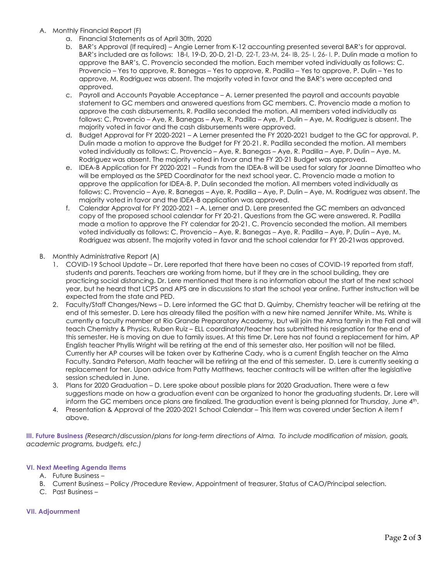- A. Monthly Financial Report (F)
	- a. Financial Statements as of April 30th, 2020
	- b. BAR's Approval (If required) Angie Lerner from K-12 accounting presented several BAR's for approval. BAR's included are as follows: 18-I, 19-D, 20-D, 21-D, 22-T, 23-M, 24- IB, 25- I, 26- I. P. Dulin made a motion to approve the BAR's, C. Provencio seconded the motion. Each member voted individually as follows: C. Provencio – Yes to approve, R. Banegas – Yes to approve, R. Padilla – Yes to approve, P. Dulin – Yes to approve, M. Rodriguez was absent. The majority voted in favor and the BAR's were accepted and approved.
	- c. Payroll and Accounts Payable Acceptance A. Lerner presented the payroll and accounts payable statement to GC members and answered questions from GC members. C. Provencio made a motion to approve the cash disbursements, R. Padilla seconded the motion. All members voted individually as follows: C. Provencio – Aye, R. Banegas – Aye, R. Padilla – Aye, P. Dulin – Aye, M. Rodriguez is absent. The majority voted in favor and the cash disbursements were approved.
	- d. Budget Approval for FY 2020-2021 A Lerner presented the FY 2020-2021 budget to the GC for approval. P. Dulin made a motion to approve the Budget for FY 20-21. R. Padilla seconded the motion. All members voted individually as follows: C. Provencio – Aye, R. Banegas – Aye, R. Padilla – Aye, P. Dulin – Aye. M. Rodriguez was absent. The majority voted in favor and the FY 20-21 Budget was approved.
	- e. IDEA-B Application for FY 2020-2021 Funds from the IDEA-B will be used for salary for Joanne Dimatteo who will be employed as the SPED Coordinator for the next school year. C. Provencio made a motion to approve the application for IDEA-B. P. Dulin seconded the motion. All members voted individually as follows: C. Provencio – Aye, R. Banegas – Aye, R. Padilla – Aye, P. Dulin – Aye, M. Rodriguez was absent. The majority voted in favor and the IDEA-B application was approved.
	- f. Calendar Approval for FY 2020-2021 A. Lerner and D. Lere presented the GC members an advanced copy of the proposed school calendar for FY 20-21. Questions from the GC were answered. R. Padilla made a motion to approve the FY calendar for 20-21. C. Provencio seconded the motion. All members voted individually as follows: C. Provencio – Aye, R. Banegas – Aye, R. Padilla – Aye, P. Dulin – Aye, M. Rodriguez was absent. The majority voted in favor and the school calendar for FY 20-21was approved.
- B. Monthly Administrative Report (A)
	- 1. COVID-19 School Update Dr. Lere reported that there have been no cases of COVID-19 reported from staff, students and parents. Teachers are working from home, but if they are in the school building, they are practicing social distancing. Dr. Lere mentioned that there is no information about the start of the next school year, but he heard that LCPS and APS are in discussions to start the school year online. Further instruction will be expected from the state and PED.
	- 2. Faculty/Staff Changes/News D. Lere informed the GC that D. Quimby, Chemistry teacher will be retiring at the end of this semester. D. Lere has already filled the position with a new hire named Jennifer White. Ms. White is currently a faculty member at Rio Grande Preparatory Academy, but will join the Alma family in the Fall and will teach Chemistry & Physics. Ruben Ruiz – ELL coordinator/teacher has submitted his resignation for the end of this semester. He is moving on due to family issues. At this time Dr. Lere has not found a replacement for him. AP English teacher Phyllis Wright will be retiring at the end of this semester also. Her position will not be filled. Currently her AP courses will be taken over by Katherine Cady, who is a current English teacher on the Alma Faculty. Sandra Peterson, Math teacher will be retiring at the end of this semester. D. Lere is currently seeking a replacement for her. Upon advice from Patty Matthews, teacher contracts will be written after the legislative session scheduled in June.
	- 3. Plans for 2020 Graduation D. Lere spoke about possible plans for 2020 Graduation. There were a few suggestions made on how a graduation event can be organized to honor the graduating students. Dr. Lere will inform the GC members once plans are finalized. The graduation event is being planned for Thursday, June 4th.
	- 4. Presentation & Approval of the 2020-2021 School Calendar This Item was covered under Section A item f above.

**III. Future Business** *(Research/discussion/plans for long-term directions of Alma. To include modification of mission, goals, academic programs, budgets, etc.)*

## **VI. Next Meeting Agenda Items**

- A. Future Business –
- B. Current Business Policy /Procedure Review, Appointment of treasurer, Status of CAO/Principal selection.
- C. Past Business –

## **VII. Adjournment**